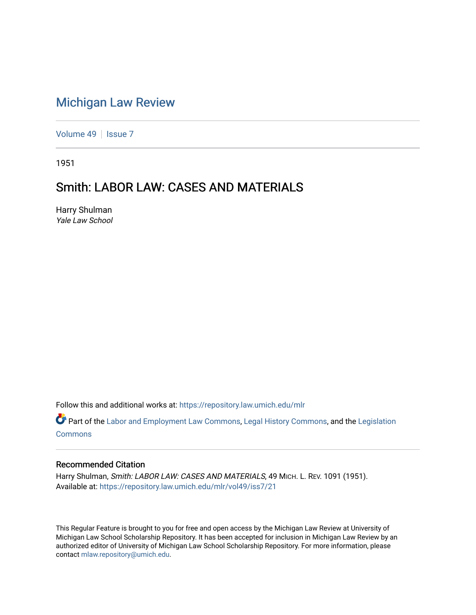# [Michigan Law Review](https://repository.law.umich.edu/mlr)

[Volume 49](https://repository.law.umich.edu/mlr/vol49) | [Issue 7](https://repository.law.umich.edu/mlr/vol49/iss7)

1951

# Smith: LABOR LAW: CASES AND MATERIALS

Harry Shulman Yale Law School

Follow this and additional works at: [https://repository.law.umich.edu/mlr](https://repository.law.umich.edu/mlr?utm_source=repository.law.umich.edu%2Fmlr%2Fvol49%2Fiss7%2F21&utm_medium=PDF&utm_campaign=PDFCoverPages) 

Part of the [Labor and Employment Law Commons](https://network.bepress.com/hgg/discipline/909?utm_source=repository.law.umich.edu%2Fmlr%2Fvol49%2Fiss7%2F21&utm_medium=PDF&utm_campaign=PDFCoverPages), [Legal History Commons,](https://network.bepress.com/hgg/discipline/904?utm_source=repository.law.umich.edu%2Fmlr%2Fvol49%2Fiss7%2F21&utm_medium=PDF&utm_campaign=PDFCoverPages) and the Legislation [Commons](https://network.bepress.com/hgg/discipline/859?utm_source=repository.law.umich.edu%2Fmlr%2Fvol49%2Fiss7%2F21&utm_medium=PDF&utm_campaign=PDFCoverPages)

### Recommended Citation

Harry Shulman, Smith: LABOR LAW: CASES AND MATERIALS, 49 MICH. L. REV. 1091 (1951). Available at: [https://repository.law.umich.edu/mlr/vol49/iss7/21](https://repository.law.umich.edu/mlr/vol49/iss7/21?utm_source=repository.law.umich.edu%2Fmlr%2Fvol49%2Fiss7%2F21&utm_medium=PDF&utm_campaign=PDFCoverPages) 

This Regular Feature is brought to you for free and open access by the Michigan Law Review at University of Michigan Law School Scholarship Repository. It has been accepted for inclusion in Michigan Law Review by an authorized editor of University of Michigan Law School Scholarship Repository. For more information, please contact [mlaw.repository@umich.edu](mailto:mlaw.repository@umich.edu).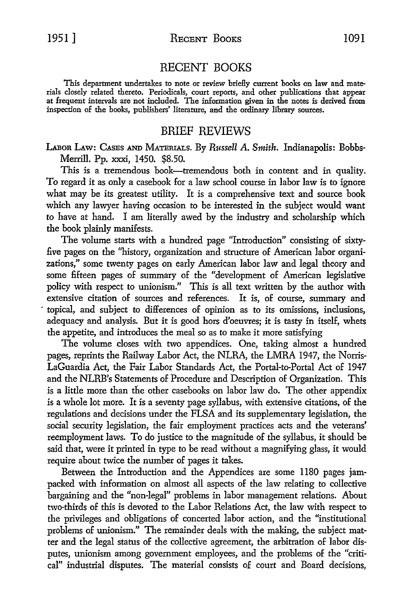#### RECENT BOOKS

This department undertakes to note or review brielly current books on law and materials closely related thereto. Periodicals, court reports, and other publications that appear at frequent intervals are not included. The information given in the notes is derived from inspection of the books, publishers' literature, and the ordinary library sources.

### BRIEF REVIEWS

LAaoR LAw: CASES AND MATERIALS. By *Russell* A. *Smith.* Indianapolis: Bobbs-Merrill. Pp. xxxi, 1450. \$8.50.

This is a tremendous book-tremendous both in content and in quality. To regard it as only a casebook for a law school course in labor law is to ignore what may be its greatest utility. It is a comprehensive text and source book which any lawyer having occasion to be interested in the subject would want *to* have at hand. I am literally awed by the industry and scholarship which the book plainly manifests.

The volume starts with a hundred page "Introduction" consisting of sixtyfive pages on the "history, organization and structure of American labor organizations," some twenty pages on early American labor law and legal theory and some fifteen pages of summary of the "development of American legislative policy with respect to unionism." This is all text written by the author with extensive citation of sources and references. It is, of course, summary and · topical, and subject to differences of opinion as to its omissions, inclusions, adequacy and analysis. But it is good hors d'oeuvres; it is tasty in itself, whets the appetite, and introduces the meal so as *to* make it more satisfying

The volume closes with two appendices. One, taking almost a hundred pages, reprints the Railway Labor Act, the NLRA, the LMRA 1947, the Norris-LaGuardia Act, the Fair Labor Standards Act, the Portal-to-Portal Act of 1947 and the NLRB's Statements of Procedure and Description of Organization. This is a little more than the other casebooks on labor law do. The other appendix is a whole lot more. It is a seventy page syllabus, with extensive citations, of the regulations and decisions under the FLSA and its supplementary legislation, the social security legislation, the fair employment practices acts and the veterans' reemployment laws. To do justice to the magnitude of the syllabus, it should be said that, were it printed in type to be read without a magnifying glass, it would require about twice the number of pages it takes.

Between the Introduction and the Appendices are some 1180 pages jampacked with information on almost all aspects of the law relating to collective bargaining and the "non-legal" problems in labor management relations. About two-thirds of this is devoted to the Labor Relations Act, the law with respect to the privileges and obligations of concerted labor action, and the "institutional problems of unionism." The remainder deals with the making, the subject matter and the legal status of the collective agreement, the arbitration of labor disputes, unionism among government employees, and the problems of the "critical" industrial disputes. The material consists of court and Board decisions,